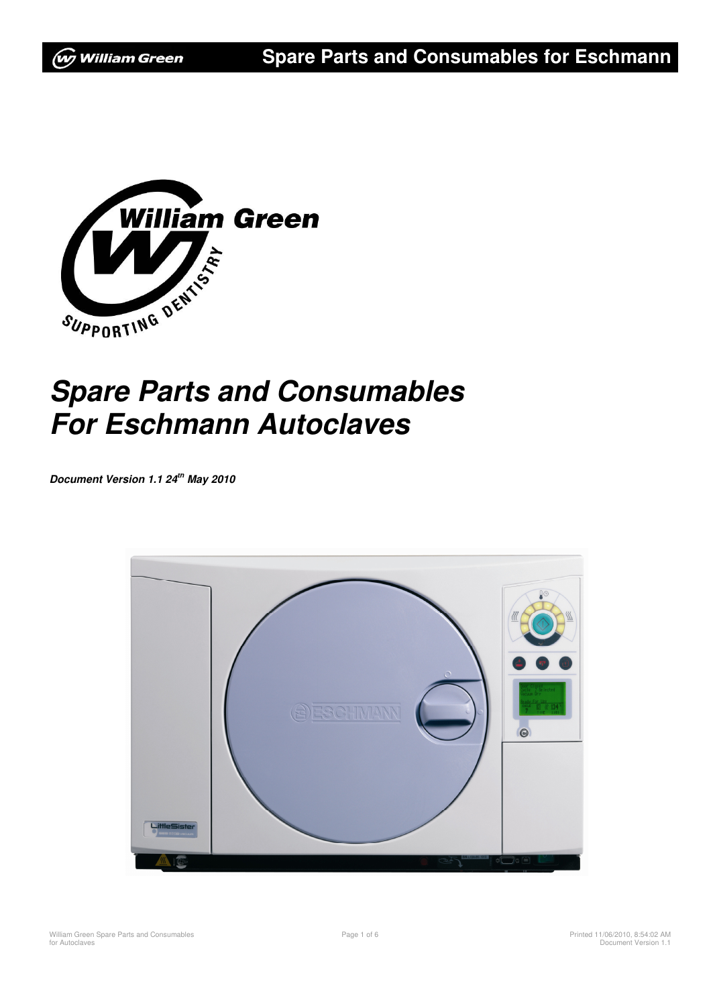

# **Spare Parts and Consumables For Eschmann Autoclaves**

**Document Version 1.1 24th May 2010** 

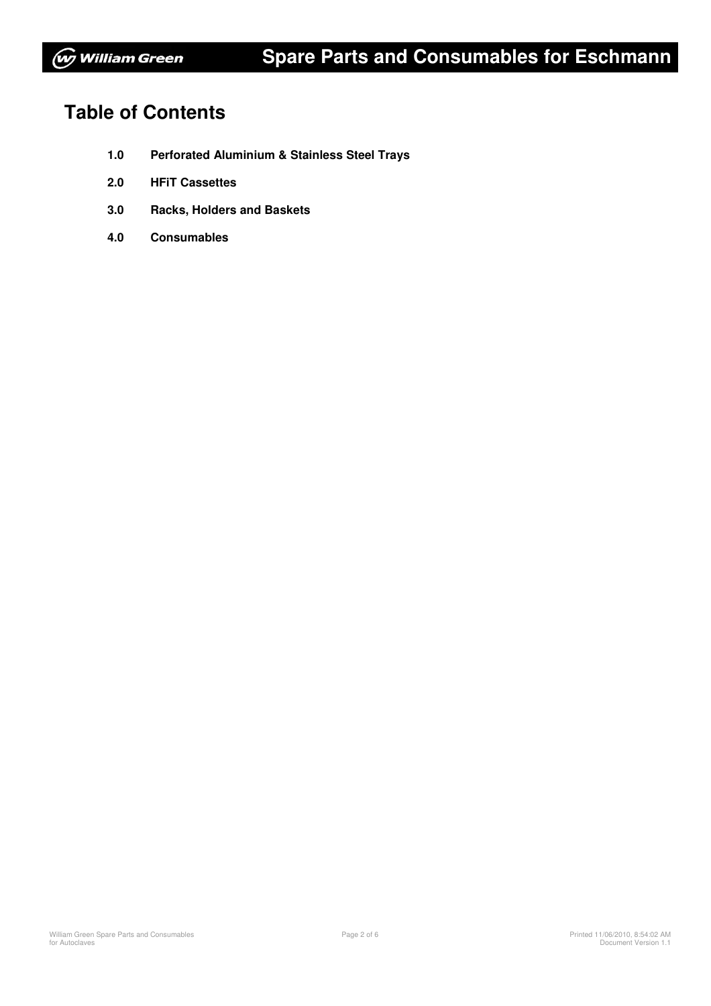## **Table of Contents**

- **1.0 Perforated Aluminium & Stainless Steel Trays**
- **2.0 HFiT Cassettes**
- **3.0 Racks, Holders and Baskets**
- **4.0 Consumables**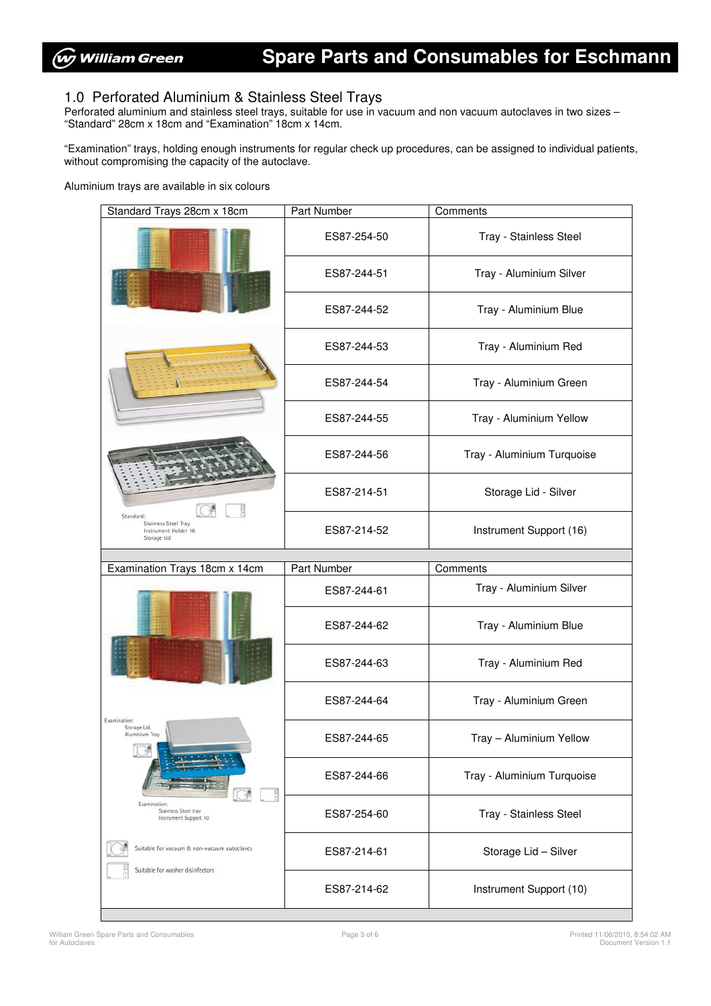#### 1.0 Perforated Aluminium & Stainless Steel Trays

Perforated aluminium and stainless steel trays, suitable for use in vacuum and non vacuum autoclaves in two sizes – "Standard" 28cm x 18cm and "Examination" 18cm x 14cm.

"Examination" trays, holding enough instruments for regular check up procedures, can be assigned to individual patients, without compromising the capacity of the autoclave.

Aluminium trays are available in six colours

| Standard Trays 28cm x 18cm                                                      | Part Number | Comments                   |
|---------------------------------------------------------------------------------|-------------|----------------------------|
|                                                                                 | ES87-254-50 | Tray - Stainless Steel     |
|                                                                                 | ES87-244-51 | Tray - Aluminium Silver    |
|                                                                                 | ES87-244-52 | Tray - Aluminium Blue      |
|                                                                                 | ES87-244-53 | Tray - Aluminium Red       |
|                                                                                 | ES87-244-54 | Tray - Aluminium Green     |
|                                                                                 | ES87-244-55 | Tray - Aluminium Yellow    |
| Standard:<br>Stainless Steel Tray<br>Instrument Holder 16<br>Storage Lid        | ES87-244-56 | Tray - Aluminium Turquoise |
|                                                                                 | ES87-214-51 | Storage Lid - Silver       |
|                                                                                 | ES87-214-52 | Instrument Support (16)    |
|                                                                                 |             |                            |
|                                                                                 |             |                            |
| Examination Trays 18cm x 14cm                                                   | Part Number | Comments                   |
|                                                                                 | ES87-244-61 | Tray - Aluminium Silver    |
|                                                                                 | ES87-244-62 | Tray - Aluminium Blue      |
|                                                                                 | ES87-244-63 | Tray - Aluminium Red       |
|                                                                                 | ES87-244-64 | Tray - Aluminium Green     |
| Examination:<br>Storage Lid.<br>Aluminium Tray                                  | ES87-244-65 | Tray - Aluminium Yellow    |
|                                                                                 | ES87-244-66 | Tray - Aluminium Turquoise |
| Examination:<br>Stainless Steel tray<br>Instrument Support 10                   | ES87-254-60 | Tray - Stainless Steel     |
| Suitable for vacuum & non-vacuum autoclaves<br>Suitable for washer disinfectors | ES87-214-61 | Storage Lid - Silver       |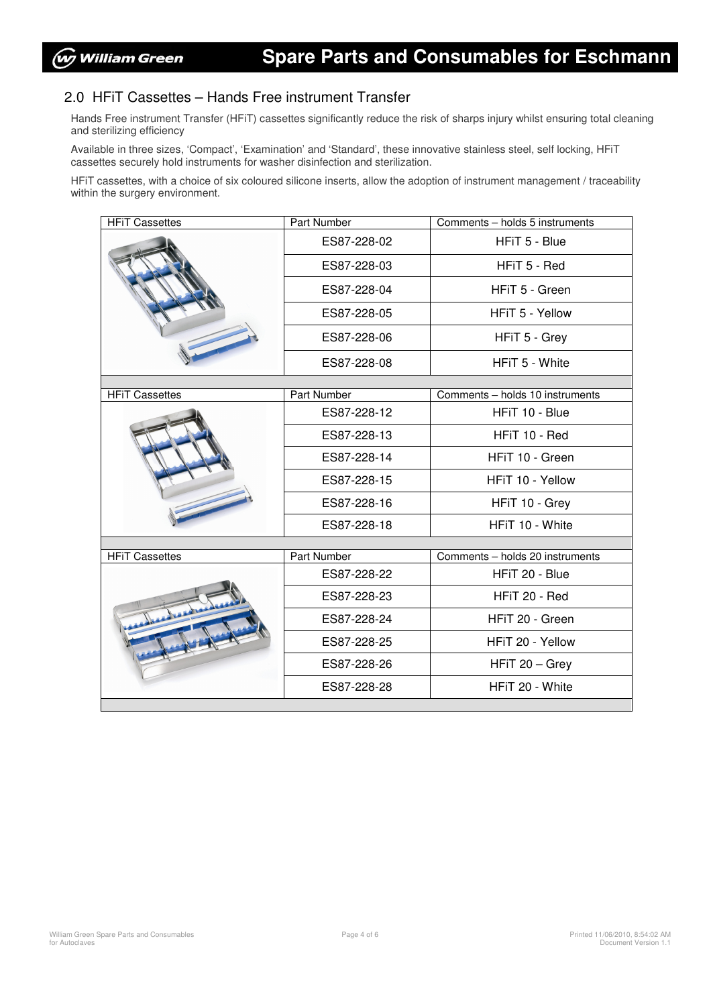#### 2.0 HFiT Cassettes – Hands Free instrument Transfer

Hands Free instrument Transfer (HFiT) cassettes significantly reduce the risk of sharps injury whilst ensuring total cleaning and sterilizing efficiency

Available in three sizes, 'Compact', 'Examination' and 'Standard', these innovative stainless steel, self locking, HFiT cassettes securely hold instruments for washer disinfection and sterilization.

HFiT cassettes, with a choice of six coloured silicone inserts, allow the adoption of instrument management / traceability within the surgery environment.

| <b>HFiT Cassettes</b> | Part Number | Comments - holds 5 instruments  |  |  |  |
|-----------------------|-------------|---------------------------------|--|--|--|
|                       | ES87-228-02 | HFiT 5 - Blue                   |  |  |  |
|                       | ES87-228-03 | HFiT 5 - Red                    |  |  |  |
|                       | ES87-228-04 | HFiT 5 - Green                  |  |  |  |
|                       | ES87-228-05 | HFiT 5 - Yellow                 |  |  |  |
|                       | ES87-228-06 | HFiT 5 - Grey                   |  |  |  |
|                       | ES87-228-08 | HFiT 5 - White                  |  |  |  |
|                       |             |                                 |  |  |  |
| <b>HFiT Cassettes</b> | Part Number | Comments - holds 10 instruments |  |  |  |
|                       | ES87-228-12 | HFiT 10 - Blue                  |  |  |  |
|                       | ES87-228-13 | HFiT 10 - Red                   |  |  |  |
|                       | ES87-228-14 | HFiT 10 - Green                 |  |  |  |
|                       | ES87-228-15 | HFiT 10 - Yellow                |  |  |  |
|                       | ES87-228-16 | HFiT 10 - Grey                  |  |  |  |
|                       | ES87-228-18 | HFiT 10 - White                 |  |  |  |
|                       |             |                                 |  |  |  |
| <b>HFIT Cassettes</b> | Part Number | Comments - holds 20 instruments |  |  |  |
|                       | ES87-228-22 | HFiT 20 - Blue                  |  |  |  |
|                       | ES87-228-23 | HFiT 20 - Red                   |  |  |  |
|                       | ES87-228-24 | HFiT 20 - Green                 |  |  |  |
|                       | ES87-228-25 | HFiT 20 - Yellow                |  |  |  |
|                       | ES87-228-26 | HFiT 20 - Grey                  |  |  |  |
|                       | ES87-228-28 | HFiT 20 - White                 |  |  |  |
|                       |             |                                 |  |  |  |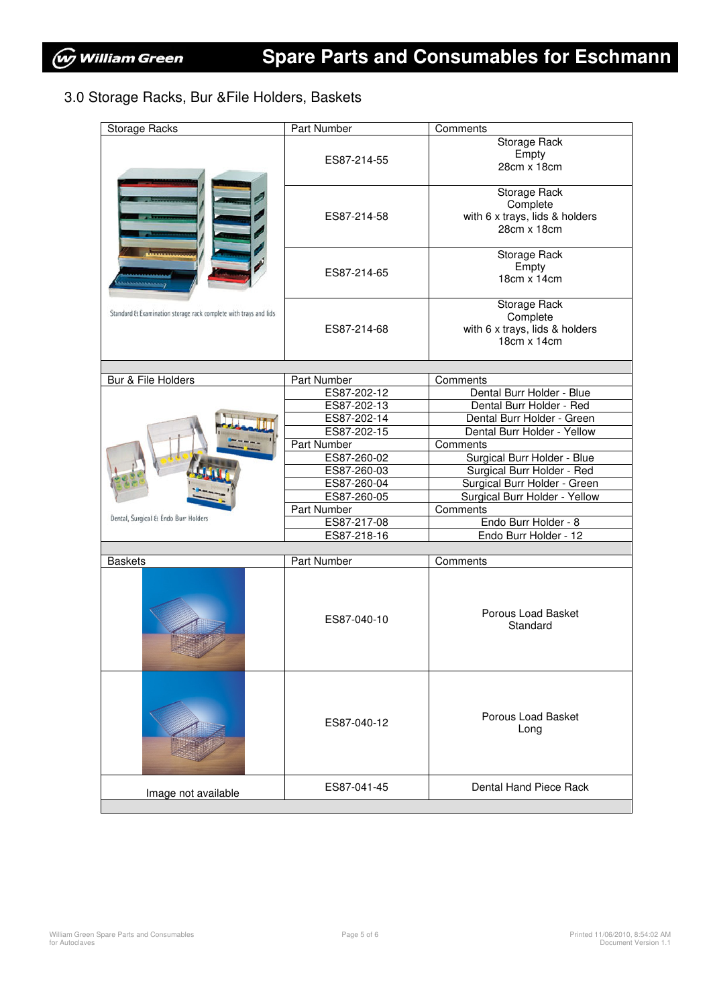### 3.0 Storage Racks, Bur &File Holders, Baskets

| <b>Storage Racks</b>                                             | <b>Part Number</b>         | Comments                                      |
|------------------------------------------------------------------|----------------------------|-----------------------------------------------|
|                                                                  |                            | Storage Rack<br>Empty                         |
|                                                                  | ES87-214-55                | 28cm x 18cm                                   |
|                                                                  |                            | Storage Rack                                  |
|                                                                  | ES87-214-58                | Complete<br>with 6 x trays, lids & holders    |
|                                                                  |                            | 28cm x 18cm                                   |
|                                                                  |                            |                                               |
|                                                                  | ES87-214-65                | Storage Rack                                  |
|                                                                  |                            | Empty                                         |
| وحممهمممين                                                       |                            | 18cm x 14cm                                   |
|                                                                  |                            |                                               |
| Standard & Examination storage rack complete with trays and lids |                            | Storage Rack                                  |
|                                                                  |                            | Complete                                      |
|                                                                  | ES87-214-68                | with 6 x trays, lids & holders                |
|                                                                  |                            | 18cm x 14cm                                   |
|                                                                  |                            |                                               |
| Bur & File Holders                                               | <b>Part Number</b>         | Comments                                      |
|                                                                  | ES87-202-12                | Dental Burr Holder - Blue                     |
|                                                                  | ES87-202-13                | Dental Burr Holder - Red                      |
|                                                                  | ES87-202-14                | Dental Burr Holder - Green                    |
|                                                                  | ES87-202-15                | Dental Burr Holder - Yellow                   |
|                                                                  | Part Number                | Comments                                      |
|                                                                  | ES87-260-02                | Surgical Burr Holder - Blue                   |
|                                                                  | ES87-260-03                | Surgical Burr Holder - Red                    |
|                                                                  | ES87-260-04                | Surgical Burr Holder - Green                  |
|                                                                  | ES87-260-05                | Surgical Burr Holder - Yellow                 |
| Dental, Surgical & Endo Burr Holders                             | Part Number                | Comments                                      |
|                                                                  | ES87-217-08<br>ES87-218-16 | Endo Burr Holder - 8<br>Endo Burr Holder - 12 |
|                                                                  |                            |                                               |
| <b>Baskets</b>                                                   | Part Number                | Comments                                      |
|                                                                  |                            |                                               |
|                                                                  |                            |                                               |
|                                                                  |                            |                                               |
|                                                                  | ES87-040-10                | Porous Load Basket                            |
|                                                                  |                            | Standard                                      |
|                                                                  |                            |                                               |
|                                                                  |                            |                                               |
|                                                                  |                            |                                               |
|                                                                  |                            |                                               |
|                                                                  |                            |                                               |
|                                                                  | ES87-040-12                | Porous Load Basket                            |
|                                                                  |                            | Long                                          |
|                                                                  |                            |                                               |
|                                                                  |                            |                                               |
|                                                                  |                            |                                               |
|                                                                  | ES87-041-45                | Dental Hand Piece Rack                        |
| Image not available                                              |                            |                                               |